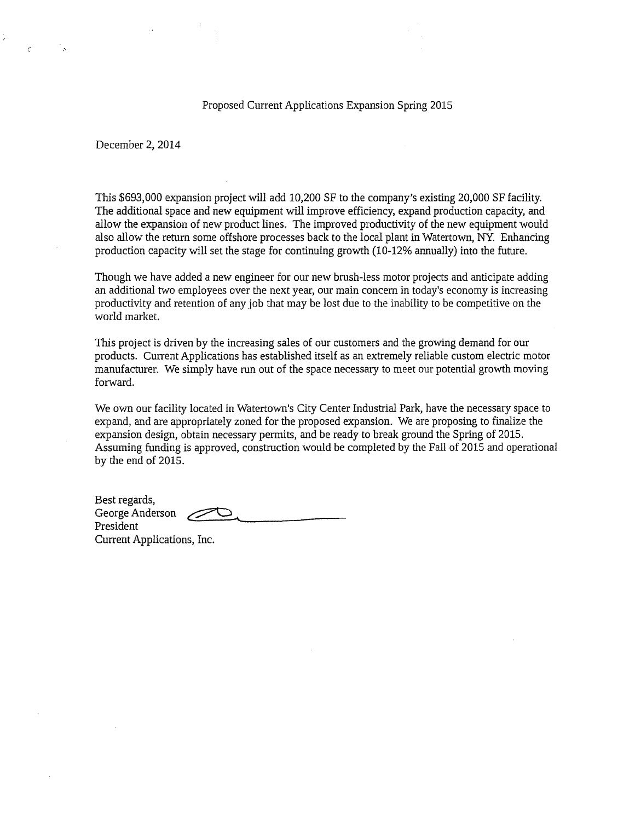Proposed Current Applications Expansion Spring 2015

December 2, 2014

This \$693,000 expansion project will add 10,200 SF to the company's existing 20,000 SF facility. The additional space and new equipment will improve efficiency, expand production capacity, and allow the expansion of new product lines. The improved productivity of the new equipment would also allow the return some offshore processes back to the local plant in Watertown, NY. Enhancing production capacity will set the stage for continuing growth (10-12% annually) into the future.

Though we have added a new engineer for our new brush-less motor projects and anticipate adding an additional two employees over the next year, our main concern in today's economy is increasing productivity and retention of any job that may be lost due to the inability to be competitive on the world market.

This project is driven by the increasing sales of our customers and the growing demand for our products. Current Applications has established itself as an extremely reliable custom electric motor manufacturer. We simply have run out of the space necessary to meet our potential growth moving forward.

We own our facility located in Watertown's City Center Industrial Park, have the necessary space to expand, and are appropriately zoned for the proposed expansion. We are proposing to finalize the expansion design, obtain necessary permits, and be ready to break ground the Spring of 2015. Assuming funding is approved, construction would be completed by the Fall of 2015 and operational by the end of 2015.

| Best regards,              |           |
|----------------------------|-----------|
| George Anderson            | <i>//</i> |
| President                  |           |
| Current Applications, Inc. |           |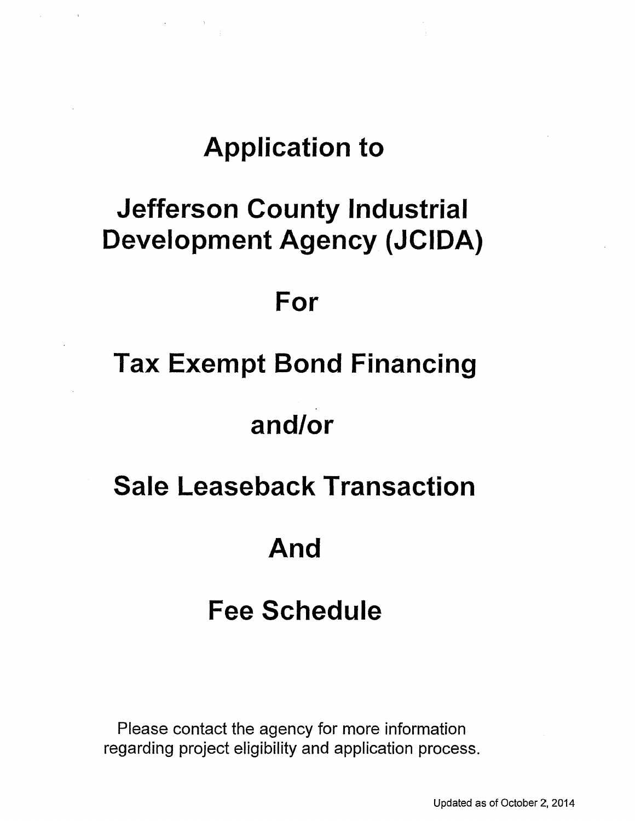# **Application to**

# **Jefferson County Industrial Development Agency (JCIDA)**

### **For**

# **Tax Exempt Bond Financing**

# **and/or**

### **Sale Leaseback Transaction**

### **And**

# **Fee Schedule**

Please contact the agency for more information regarding project eligibility and application process.

Updated as of October 2, 2014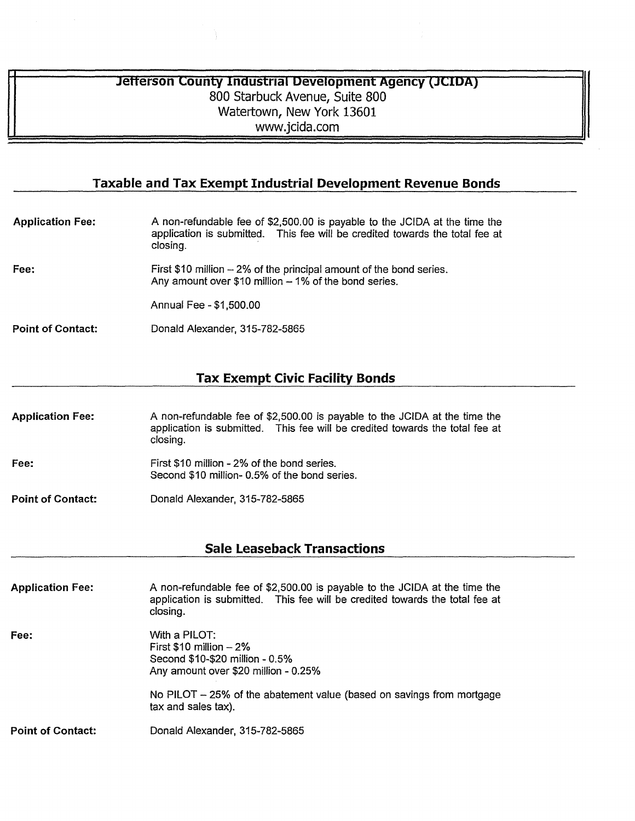#### **Jefferson County Industrial Development Agency (JCIDA)** 800 Starbuck Avenue, Suite 800 Watertown, New York 13601 www.jcida.com

#### **Taxable and Tax Exempt Industrial Development Revenue Bonds**

| <b>Application Fee:</b>  | A non-refundable fee of \$2,500.00 is payable to the JCIDA at the time the<br>application is submitted. This fee will be credited towards the total fee at<br>closing. |  |
|--------------------------|------------------------------------------------------------------------------------------------------------------------------------------------------------------------|--|
| Fee:                     | First \$10 million - 2% of the principal amount of the bond series.<br>Any amount over \$10 million $-1\%$ of the bond series.                                         |  |
|                          | Annual Fee - \$1,500.00                                                                                                                                                |  |
| <b>Point of Contact:</b> | Donald Alexander, 315-782-5865                                                                                                                                         |  |

### **Tax Exempt Civic Facility Bonds**

| <b>Application Fee:</b>  | A non-refundable fee of \$2,500.00 is payable to the JCIDA at the time the<br>application is submitted. This fee will be credited towards the total fee at<br>closing. |
|--------------------------|------------------------------------------------------------------------------------------------------------------------------------------------------------------------|
| Fee:                     | First \$10 million - 2% of the bond series.<br>Second \$10 million-0.5% of the bond series.                                                                            |
| <b>Point of Contact:</b> | Donald Alexander, 315-782-5865                                                                                                                                         |

### **Sale Leaseback Transactions**

| <b>Application Fee:</b>  | A non-refundable fee of \$2,500.00 is payable to the JCIDA at the time the<br>application is submitted. This fee will be credited towards the total fee at<br>closing.                          |
|--------------------------|-------------------------------------------------------------------------------------------------------------------------------------------------------------------------------------------------|
| Fee:                     | With a PILOT:<br>First $$10$ million $-2\%$<br>Second \$10-\$20 million - 0.5%<br>Any amount over \$20 million - 0.25%<br>No PILOT – 25% of the abatement value (based on savings from mortgage |
|                          | tax and sales tax).                                                                                                                                                                             |
| <b>Point of Contact:</b> | Donald Alexander, 315-782-5865                                                                                                                                                                  |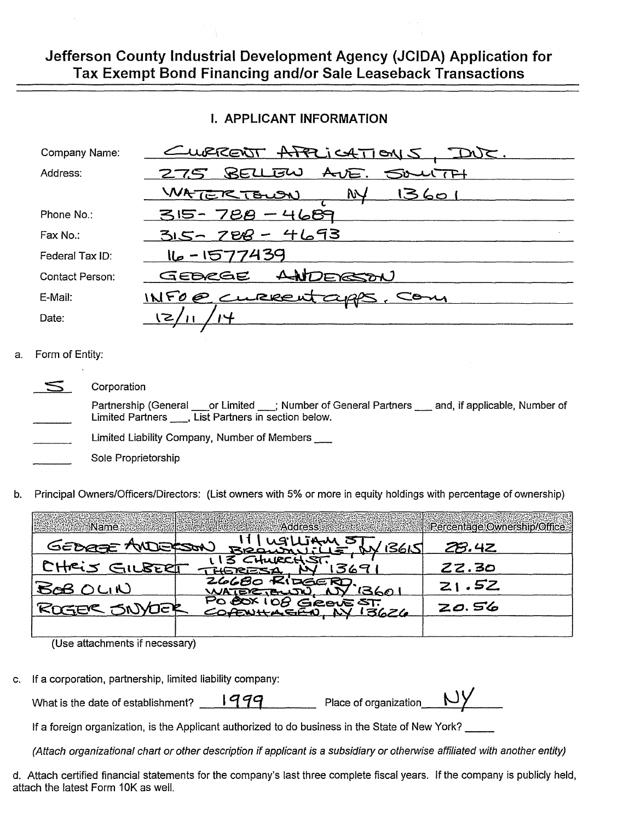### Jefferson County Industrial Development Agency (JCIDA) Application for Tax Exempt Bond Financing and/or Sale Leaseback Transactions

#### **I. APPLICANT INFORMATION**

| Company Name:          | <u>CURRENT APPLICATIONS</u>                  |
|------------------------|----------------------------------------------|
| Address:               | AVE. SOULTH<br>275 BELLEW                    |
|                        | <u>WATERTOWN</u><br><b>NY</b><br><u>1360</u> |
| Phone No.:             | 315-788-4689                                 |
| Fax No.:               | $315 - 708 - 4693$                           |
| Federal Tax ID:        | 16-1577439                                   |
| <b>Contact Person:</b> | ANDERSON<br>GEBRGE                           |
| E-Mail:                | INFO@ CLRRENT CUPPS                          |
| Date:                  |                                              |

#### Form of Entity: a.

| $\sqrt{2}$ | Corporation                                                                                                                                                       |
|------------|-------------------------------------------------------------------------------------------------------------------------------------------------------------------|
|            | Partnership (General ____or Limited ____; Number of General Partners ____ and, if applicable, Number of<br>Limited Partners ____, List Partners in section below. |
|            | Limited Liability Company, Number of Members                                                                                                                      |
|            | Sole Proprietorship                                                                                                                                               |

Principal Owners/Officers/Directors: (List owners with 5% or more in equity holdings with percentage of ownership) b.

| <b>Sitter Name</b>              | <b>Address</b> Address       | Percentage Ownership/Office |
|---------------------------------|------------------------------|-----------------------------|
| GEDREE AND                      | M) BROWNING STY 136<br>13615 | 28.42                       |
| CHRIS GILBERT                   |                              | ZZ.30                       |
| <b>BAB OLIN</b>                 |                              | zı.52                       |
| ROGER SNY<br><b>VUSA</b>        |                              | ZO.56                       |
| (Line oftachmonto if nococcons) |                              |                             |

(Use attachments if necessary)

c. If a corporation, partnership, limited liability company:

| What is the date of establishment? | aga | Place of organization |  |
|------------------------------------|-----|-----------------------|--|
|                                    |     |                       |  |

If a foreign organization, is the Applicant authorized to do business in the State of New York?

(Attach organizational chart or other description if applicant is a subsidiary or otherwise affiliated with another entity)

. . . 1

d. Attach certified financial statements for the company's last three complete fiscal years. If the company is publicly held, attach the latest Form 10K as well.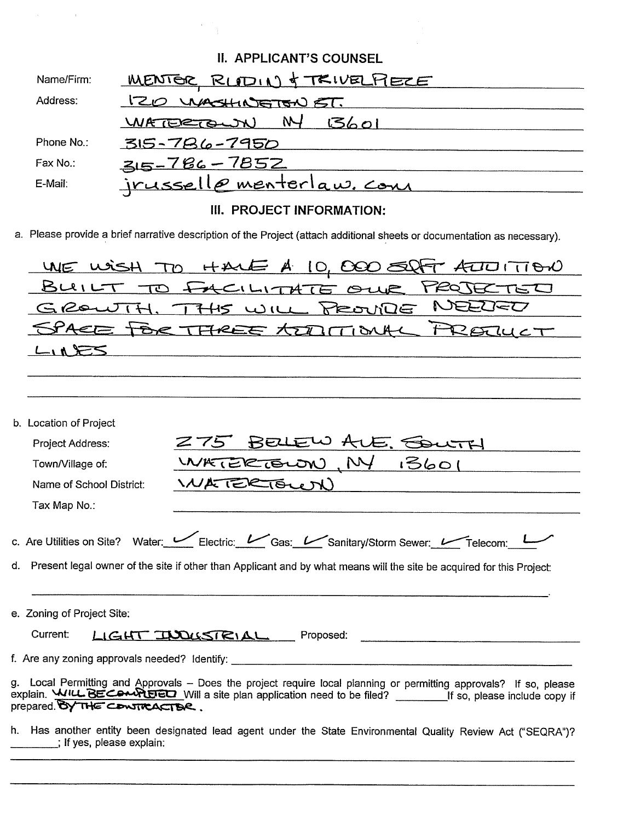|                              | <b>II. APPLICANT'S COUNSEL</b>                                                                                                                                                                                                            |
|------------------------------|-------------------------------------------------------------------------------------------------------------------------------------------------------------------------------------------------------------------------------------------|
| Name/Firm:                   | <u>MENTOR RUDIN &amp; TRIVELFIECE</u>                                                                                                                                                                                                     |
| Address:                     | 120 WASHINGTON ST.                                                                                                                                                                                                                        |
|                              | N-<br>5601<br>WATERTOWN                                                                                                                                                                                                                   |
| Phone No.:                   | 315-786-7950                                                                                                                                                                                                                              |
| Fax No.:                     | $315 - 786 - 7852$                                                                                                                                                                                                                        |
| E-Mail:                      | <u>jrusselle menterlaw. com</u>                                                                                                                                                                                                           |
|                              | III. PROJECT INFORMATION:                                                                                                                                                                                                                 |
|                              | a. Please provide a brief narrative description of the Project (attach additional sheets or documentation as necessary).                                                                                                                  |
| WE WISH                      | TO HALE A 10, 000 8<br>᠊ᠣ᠋᠋ᠢ᠋ᡨ᠔                                                                                                                                                                                                           |
| いいに                          | TO FACILITATE OUR PROJECTED                                                                                                                                                                                                               |
| $G$ Reuti                    | NEEUED<br>THS WILL PROVIDE                                                                                                                                                                                                                |
|                              | SPACE TOR THREE TODITIONA<br>$20\mu$ CT                                                                                                                                                                                                   |
| $\geq$ $\geq$ $\leq$         |                                                                                                                                                                                                                                           |
|                              |                                                                                                                                                                                                                                           |
|                              |                                                                                                                                                                                                                                           |
| b. Location of Project       |                                                                                                                                                                                                                                           |
| Project Address:             | VE. COUTH                                                                                                                                                                                                                                 |
| Town/Village of:             | 13601<br>WATERTOWN                                                                                                                                                                                                                        |
| Name of School District:     | WATERTOWN                                                                                                                                                                                                                                 |
| Tax Map No.:                 |                                                                                                                                                                                                                                           |
|                              |                                                                                                                                                                                                                                           |
|                              | c. Are Utilities on Site? Water: Venter: Electric: Venter: Cas: Ventery/Storm Sewer: Ventecom: L                                                                                                                                          |
|                              | d. Present legal owner of the site if other than Applicant and by what means will the site be acquired for this Project:                                                                                                                  |
|                              |                                                                                                                                                                                                                                           |
| e. Zoning of Project Site:   |                                                                                                                                                                                                                                           |
| Current:                     | LIGHT INDUSTRIAL Proposed:                                                                                                                                                                                                                |
|                              |                                                                                                                                                                                                                                           |
|                              |                                                                                                                                                                                                                                           |
| prepared. BY THE CONTRACTER. | g. Local Permitting and Approvals - Does the project require local planning or permitting approvals? If so, please<br>explain. WILL BECOMPLED Will a site plan application need to be filed? _______________If so, please include copy if |
|                              | h. Has another entity been designated lead agent under the State Environmental Quality Review Act ("SEQRA")?                                                                                                                              |

 $\frac{1}{1}$ ; If yes, please explain:

 $f<sub>1</sub>$ 

 $\Delta \phi = 0.000$  and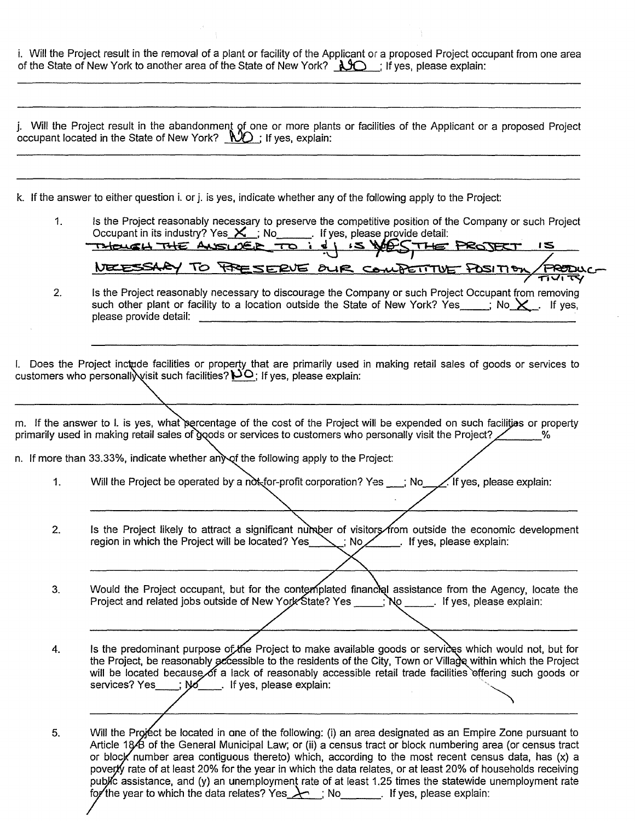| i. Will the Project result in the removal of a plant or facility of the Applicant or a proposed Project occupant from one area<br>of the State of New York to another area of the State of New York? $\Box$ if yes, please explain |  |  |
|------------------------------------------------------------------------------------------------------------------------------------------------------------------------------------------------------------------------------------|--|--|
|                                                                                                                                                                                                                                    |  |  |

|    | j. Will the Project result in the abandonment of one or more plants or facilities of the Applicant or a proposed Project<br>occupant located in the State of New York? $\mathcal{WD}$ ; If yes, explain:                                                                                                                                                                                |
|----|-----------------------------------------------------------------------------------------------------------------------------------------------------------------------------------------------------------------------------------------------------------------------------------------------------------------------------------------------------------------------------------------|
|    | k. If the answer to either question i. or j. is yes, indicate whether any of the following apply to the Project:                                                                                                                                                                                                                                                                        |
| 1. | Is the Project reasonably necessary to preserve the competitive position of the Company or such Project<br>Occupant in its industry? Yes $X$ , No Figure 1 if yes, please provide detail:<br>THOUGH THE ANSWER TO I & YESTHE PROJECT<br>5 <sup>1</sup>                                                                                                                                  |
| 2. | NEESSARY TO PRESERVE OUR COMPETITIVE POSITION FROM<br>Is the Project reasonably necessary to discourage the Company or such Project Occupant from removing<br>such other plant or facility to a location outside the State of New York? Yes $\cdot$ ; No $\times$ . If yes,<br>please provide detail:                                                                                   |
|    | I. Does the Project inctude facilities or property that are primarily used in making retail sales of goods or services to<br>customers who personally visit such facilities? $\mathsf{PO}_i$ If yes, please explain:                                                                                                                                                                    |
|    | m. If the answer to l. is yes, what percentage of the cost of the Project will be expended on such facilitias or property<br>primarily used in making retail sales of goods or services to customers who personally visit the Project? $\angle$<br>%<br>n. If more than 33.33%, indicate whether any of the following apply to the Project:                                             |
| 1. | Will the Project be operated by a not for-profit corporation? Yes ___; No<br>$\angle$ If yes, please explain:                                                                                                                                                                                                                                                                           |
| 2. | Is the Project likely to attract a significant number of visitors from outside the economic development<br>region in which the Project will be located? Yes $\setminus$ : No $\setminus$ If yes, please explain:                                                                                                                                                                        |
| 3. | Would the Project occupant, but for the contemplated financial assistance from the Agency, locate the<br>Project and related jobs outside of New York State? Yes<br>No ______. If yes, please explain:                                                                                                                                                                                  |
| 4. | Is the predominant purpose of the Project to make available goods or services which would not, but for<br>the Project, be reasonably accessible to the residents of the City, Town or Village within which the Project<br>will be located because of a lack of reasonably accessible retail trade facilities offering such goods or<br>services? Yes<br>: No<br>If yes, please explain: |
| 5. | Will the Project be located in one of the following: (i) an area designated as an Empire Zone pursuant to<br>Article 1849 of the General Municipal Law; or (ii) a census tract or block numbering area (or census tract<br>or block number area contiguous thereto) which according to the most recent census data has $(y)$ a                                                          |

or block number area contiguous thereto) which, according to the most recent census data, has  $(x)$  a poverty rate of at least 20% for the year in which the data relates, or at least 20% of households receiving public assi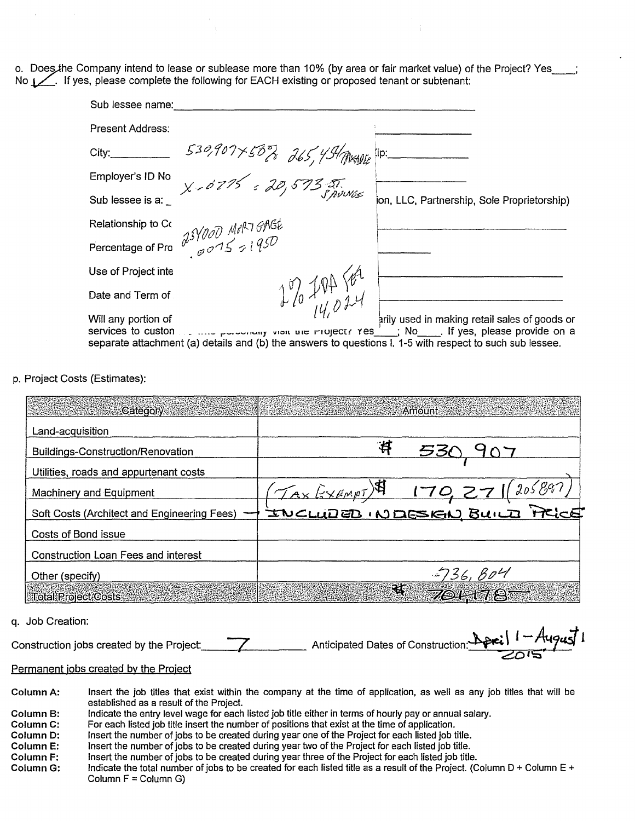o. Does the Company intend to lease or sublease more than 10% (by area or fair market value) of the Project? Yes No  $1$ , If yes, please complete the following for EACH existing or proposed tenant or subtenant:

| Sub lessee name:    |                                                                                                          |                                                                                                                                                                                                                                                                                                                                      |
|---------------------|----------------------------------------------------------------------------------------------------------|--------------------------------------------------------------------------------------------------------------------------------------------------------------------------------------------------------------------------------------------------------------------------------------------------------------------------------------|
| Present Address:    |                                                                                                          |                                                                                                                                                                                                                                                                                                                                      |
| City:               | $530,907\times50\%$ 265, 45/ THANGE TO:                                                                  |                                                                                                                                                                                                                                                                                                                                      |
| Employer's ID No    | $X - 6715 = 20,5735.$ SAUNGS                                                                             |                                                                                                                                                                                                                                                                                                                                      |
| Sub lessee is a:    |                                                                                                          | ion, LLC, Partnership, Sole Proprietorship)                                                                                                                                                                                                                                                                                          |
|                     |                                                                                                          |                                                                                                                                                                                                                                                                                                                                      |
|                     | Percentage of Pro $\frac{\partial$ SY000 Mil <sup>27</sup> GNGt                                          |                                                                                                                                                                                                                                                                                                                                      |
| Use of Project inte |                                                                                                          |                                                                                                                                                                                                                                                                                                                                      |
| Date and Term of    | $1\%$ for $8\%$                                                                                          |                                                                                                                                                                                                                                                                                                                                      |
| Will any portion of |                                                                                                          | arily used in making retail sales of goods or                                                                                                                                                                                                                                                                                        |
|                     | separate attachment (a) details and (b) the answers to questions I. 1-5 with respect to such sub lessee. | services to custom $\ldots$ $\ldots$ $\ldots$ $\ldots$ $\ldots$ $\ldots$ $\ldots$ $\ldots$ $\ldots$ $\ldots$ $\ldots$ $\ldots$ $\ldots$ $\ldots$ $\ldots$ $\ldots$ $\ldots$ $\ldots$ $\ldots$ $\ldots$ $\ldots$ $\ldots$ $\ldots$ $\ldots$ $\ldots$ $\ldots$ $\ldots$ $\ldots$ $\ldots$ $\ldots$ $\ldots$ $\ldots$ $\ldots$ $\ldots$ |

p. Project Costs (Estimates):

| Category:                                   | Amount -                              |
|---------------------------------------------|---------------------------------------|
| Land-acquisition                            |                                       |
| Buildings-Construction/Renovation           | 净<br>53C                              |
| Utilities, roads and appurtenant costs      |                                       |
| <b>Machinery and Equipment</b>              | $T_{Ax}$ Exempt) $$170,27$<br>1205,89 |
| Soft Costs (Architect and Engineering Fees) | INCLUDED INDESIGN BUILD PRICE         |
| Costs of Bond issue                         |                                       |
| <b>Construction Loan Fees and interest</b>  |                                       |
| Other (specify)                             | $-736, B04$                           |
| <b>Total Project Costs</b>                  | अ                                     |

q. Job Creation:

\_\_\_ Anticipated Dates of Construction:  $\Delta$  proj  $1 -$ Construction jobs created by the Project:

Permanent jobs created by the Project

- Column A: Insert the job titles that exist within the company at the time of application, as well as any job titles that will be established as a result of the Project. Indicate the entry level wage for each listed job title either in terms of hourly pay or annual salary. Column B:
- Column C: For each listed job title insert the number of positions that exist at the time of application.
- Insert the number of jobs to be created during year one of the Project for each listed job title. Column D:
- Insert the number of jobs to be created during year two of the Project for each listed job title. Column E:
- Insert the number of jobs to be created during year three of the Project for each listed job title. Column<sub>F:</sub>
- Indicate the total number of jobs to be created for each listed title as a result of the Project. (Column D + Column E + Column G: Column  $F =$  Column G)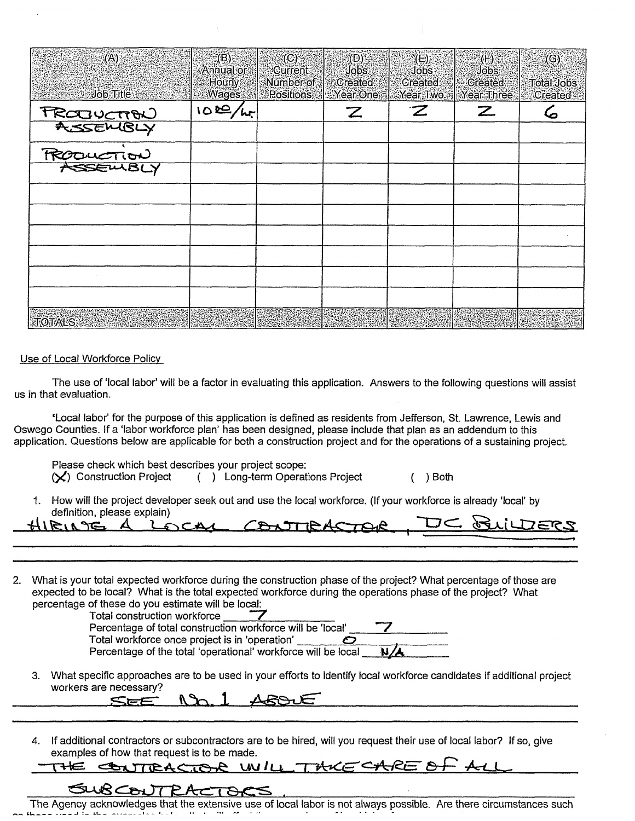| (A)                                                       | $\epsilon(\mathsf{B})$ :<br>Annual or | $^{\circ}$ (C):<br>Current | (D)<br>Jobs:         | $(E)$ .<br>Jobs              | (F)<br>Jobs                   | (G)                   |
|-----------------------------------------------------------|---------------------------------------|----------------------------|----------------------|------------------------------|-------------------------------|-----------------------|
| Job Title                                                 | <b>Hourly</b><br><b>Wages</b>         | Number of<br>Positions     | Created:<br>Year One | <b>Created:</b><br>Year Two: | Created:<br><b>Year Three</b> | Total Jobs<br>Created |
|                                                           | 100/hr                                |                            | $\mathbb{Z}$         | $\boldsymbol{z}$             | $\mathbb Z$                   | 6                     |
| <b>TRODUCTION</b><br><b>ASSEMBLY</b><br><b>TRODUCTION</b> |                                       |                            |                      |                              |                               |                       |
|                                                           |                                       |                            |                      |                              |                               |                       |
|                                                           |                                       |                            |                      |                              |                               |                       |
|                                                           |                                       |                            |                      |                              |                               |                       |
|                                                           |                                       |                            |                      |                              |                               |                       |
|                                                           |                                       |                            |                      |                              |                               |                       |
|                                                           |                                       |                            |                      |                              |                               |                       |
|                                                           |                                       |                            |                      |                              |                               |                       |
|                                                           |                                       |                            |                      |                              |                               |                       |
| <b>TOTALS</b>                                             |                                       |                            |                      |                              |                               |                       |

Use of Local Workforce Policy

The use of 'local labor' will be a factor in evaluating this application. Answers to the following questions will assist us in that evaluation.

'Local labor' for the purpose of this application is defined as residents from Jefferson, St. Lawrence, Lewis and Oswego Counties. If a 'labor workforce plan' has been designed, please include that plan as an addendum to this application. Questions below are applicable for both a construction project and for the operations of a sustaining project.

Please check which best describes your project scope: (X) Construction Project ( ) Long-term Operations Project ( ) Both

1. How will the project developer seek out and use the local workforce. (If your workforce is already 'local' by definition, please explain)

| definition, please explain)           |  |
|---------------------------------------|--|
| HIRING A LOCAL CONTRACTOR DC BLILDERS |  |
|                                       |  |

2. What is your total expected workforce during the construction phase of the project? What percentage of those are expected to be local? What is the total expected workforce during the operations phase of the project? What percentage of these do you estimate will be local:



3. What specific approaches are to be used in your efforts to identify local workforce candidates if additional project workers are necessary?<br>
SEE  $\Lambda$  1  $\Lambda$ SO UE workers are necessary?

SEE

4. If additional contractors or subcontractors are to be hired, will you request their use of local labor? If so, give examples of how that request is to be made.

### THE CONTRACTOR UNILL THICE

### $\zeta$

The Agency acknowledges that the extensive use of local labor is not always possible. Are there circumstances such<br>has extend in the extensive test with the with the control of the control of the control of the extension o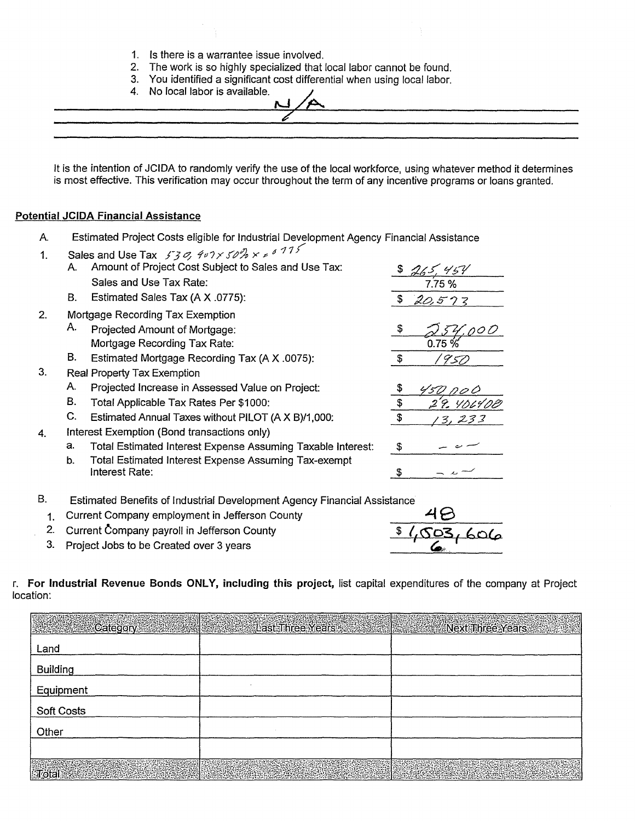- 1. Is there is a warrantee issue involved.
- 2. The work is so highly specialized that local labor cannot be found.
- 3. You identified a significant cost differential when using local labor.
- 4. No local labor is available.

 $\lambda$ 

It is the intention of JCIDA to randomly verify the use of the local workforce, using whatever method it determines is most effective. This verification may occur throughout the term of any incentive programs or loans granted.

#### **Potential JCIDA Financial Assistance**

 $1<sub>1</sub>$ 

 $\overline{2}$ .

3.

4.

- Estimated Project Costs eligible for Industrial Development Agency Financial Assistance Α.
	- Sales and Use Tax 530, 407 x 50  $\%$  x  $\approx$  6 775 Amount of Project Cost Subject to Sales and Use Tax: A.  $$265.454$ Sales and Use Tax Rate:  $7.75%$ **B.** Estimated Sales Tax (A X .0775): \$  $20.522$ Mortgage Recording Tax Exemption А. Projected Amount of Mortgage: £. Mortgage Recording Tax Rate:  $0.75%$ В. Estimated Mortgage Recording Tax (A X .0075):  $\mathfrak s$ 1950 Real Property Tax Exemption Α. Projected Increase in Assessed Value on Project: \$ 50 po 0 **B.** Total Applicable Tax Rates Per \$1000: \$ 29. 40640E C. Estimated Annual Taxes without PILOT (A X B)/1,000: \$ 13.233 Interest Exemption (Bond transactions only) Total Estimated Interest Expense Assuming Taxable Interest: a. \$ **Total Estimated Interest Expense Assuming Tax-exempt** b. Interest Rate:  $\mathfrak{F}$
- **B.** Estimated Benefits of Industrial Development Agency Financial Assistance
	- 1. Current Company employment in Jefferson County
	- 2. Current Company payroll in Jefferson County
	- 3. Project Jobs to be Created over 3 years



r. For Industrial Revenue Bonds ONLY, including this project, list capital expenditures of the company at Project location:

|                                                                                           | <b>Executive Category Control Control Control Control Control Control Control Control Control Control Control Control Control Control Control Control Control Control Control Control Control Control Control Control Control Co</b> |  |
|-------------------------------------------------------------------------------------------|--------------------------------------------------------------------------------------------------------------------------------------------------------------------------------------------------------------------------------------|--|
| Land                                                                                      |                                                                                                                                                                                                                                      |  |
| <b>Building</b>                                                                           |                                                                                                                                                                                                                                      |  |
| Equipment                                                                                 |                                                                                                                                                                                                                                      |  |
| Soft Costs                                                                                |                                                                                                                                                                                                                                      |  |
| Other                                                                                     |                                                                                                                                                                                                                                      |  |
|                                                                                           |                                                                                                                                                                                                                                      |  |
| $\overline{\mathbf{J}}$ otal $\overline{\mathbf{J}}$ . The set of $\overline{\mathbf{J}}$ |                                                                                                                                                                                                                                      |  |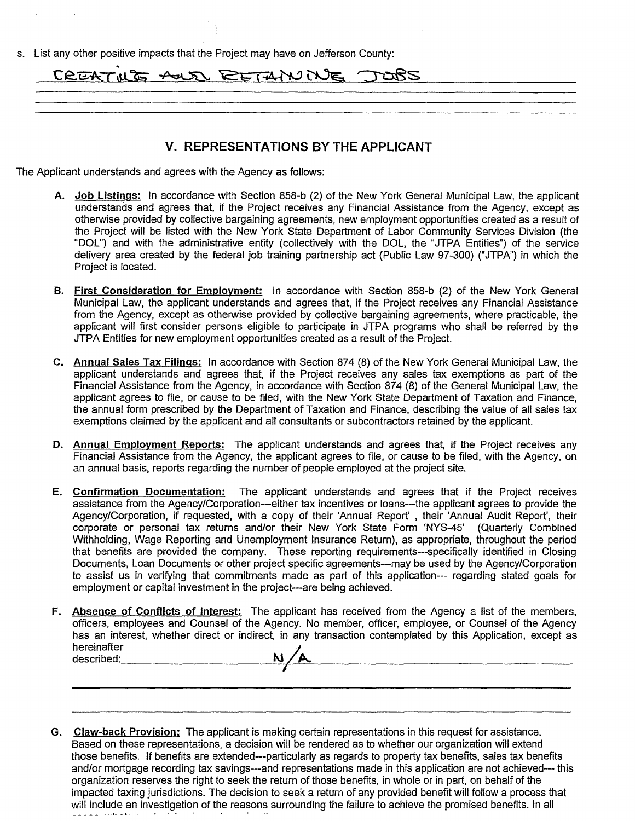| List any other positive impacts that the Project may have on Jefferson County: |  |
|--------------------------------------------------------------------------------|--|
| CREATIVE AUDI RETAINING JOBS                                                   |  |
|                                                                                |  |
|                                                                                |  |

#### **V. REPRESENTATIONS BY THE APPLICANT**

The Applicant understands and agrees with the Agency as follows:

- **A. Job Listings:** In accordance with Section 858-b (2) of the New York General Municipal Law, the applicant understands and agrees that, if the Project receives any Financial Assistance from the Agency, except as otherwise provided by collective bargaining agreements, new employment opportunities created as a result of the Project will be listed with the New York State Department of Labor Community Services Division (the "DOL") and with the administrative entity (collectively with the DOL, the "JTPA Entities") of the service delivery area created by the federal job training partnership act (Public Law 97-300) ("JTPA") in which the Project is located.
- **B. First Consideration for Employment:** In accordance with Section 858-b (2) of the New York General Municipal Law, the applicant understands and agrees that, if the Project receives any Financial Assistance from the Agency, except as otherwise provided by collective bargaining agreements, where practicable, the applicant will first consider persons eligible to participate in JTPA programs who shall be referred by the JTPA Entities for new employment opportunities created as a result of the Project.
- **C. Annual Sales Tax Filings: In** accordance with Section 874 (8) of the New York General Municipal Law, the applicant understands and agrees that, if the Project receives any sales tax exemptions as part of the Financial Assistance from the Agency, in accordance with Section 874 (8) of the General Municipal Law, the applicant agrees to file, or cause to be filed, with the New York State Department of Taxation and Finance, the annual form prescribed by the Department of Taxation and Finance, describing the value of all sales tax exemptions claimed by the applicant and all consultants or subcontractors retained by the applicant.
- **D. Annual Employment Reports:** The applicant understands and agrees that, if the Project receives any Financial Assistance from the Agency, the applicant agrees to file, or cause to be filed, with the Agency, on an annual basis, reports regarding the number of people employed at the project site.
- **E. Confirmation Documentation:** The applicant understands and agrees that if the Project receives assistance from the Agency/Corporation---either tax incentives or loans---the applicant agrees to provide the Agency/Corporation, if requested, with a copy of their 'Annual Report' , their 'Annual Audit Report', their corporate or personal tax returns and/or their New York State Form `NYS-45' (Quarterly Combined Withholding, Wage Reporting and Unemployment Insurance Return), as appropriate, throughout the period that benefits are provided the company. These reporting requirements---specifically identified in Closing Documents, Loan Documents or other project specific agreements--may be used by the Agency/Corporation to assist us in verifying that commitments made as part of this application--- regarding stated goals for employment or capital investment in the project---are being achieved.
- **F. Absence of Conflicts of Interest:** The applicant has received from the Agency a list of the members, officers, employees and Counsel of the Agency. No member, officer, employee, or Counsel of the Agency has an interest, whether direct or indirect, in any transaction contemplated by this Application, except as hereinafter<br>described:  $N/A$
- **G. Claw-back Provision:** The applicant is making certain representations in this request for assistance. Based on these representations, a decision will be rendered as to whether our organization will extend those benefits. If benefits are extended—particularly as regards to property tax benefits, sales tax benefits and/or mortgage recording tax savings---and representations made in this application are not achieved--- this organization reserves the right to seek the return of those benefits, in whole or in part, on behalf of the impacted taxing jurisdictions. The decision to seek a return of any provided benefit will follow a process that will include an investigation of the reasons surrounding the failure to achieve the promised benefits. In all I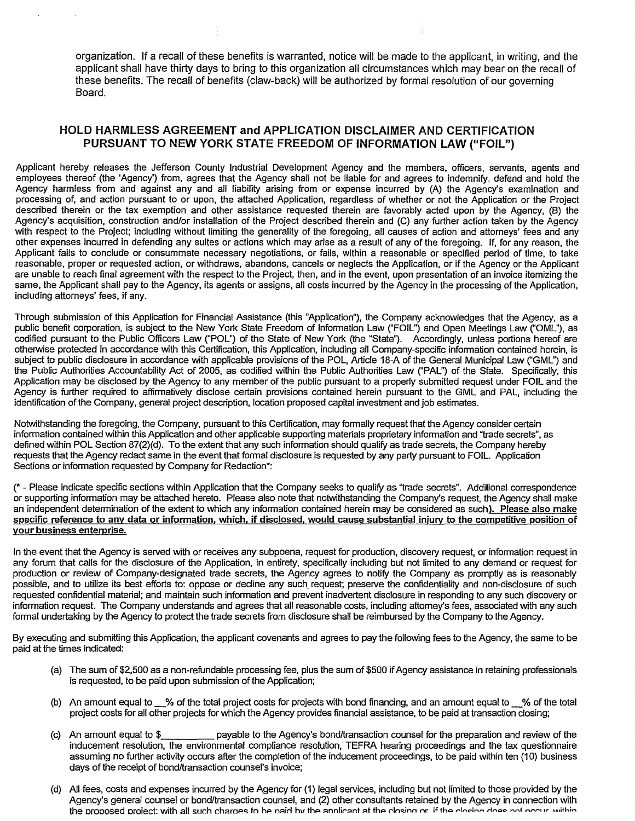organization. If a recall of these benefits is warranted, notice will be made to the applicant, in writing, and the applicant shall have thirty days to bring to this organization all circumstances which may bear on the recall of these benefits. The recall of benefits (claw-back) will be authorized by formal resolution of our governing Board.

#### HOLD HARMLESS AGREEMENT and APPLICATION DISCLAIMER AND CERTIFICATION PURSUANT TO NEW YORK STATE FREEDOM OF INFORMATION LAW ("FOIL")

Applicant hereby releases the Jefferson County Industrial Development Agency and the members, officers, servants, agents and employees thereof (the 'Agency') from, agrees that the Agency shall not be liable for and agrees to indemnify, defend and hold the Agency harmless from and against any and all liability arising from or expense incurred by (A) the Agency's examination and processing of, and action pursuant to or upon, the attached Application, regardless of whether or not the Application or the Project described therein or the tax exemption and other assistance requested therein are favorably acted upon by the Agency, (B) the Agency's acquisition, construction and/or installation of the Project described therein and (C) any further action taken by the Agency with respect to the Project; including without limiting the generality of the foregoing, all causes of action and attorneys' fees and any other expenses incurred in defending any suites or actions which may arise as a result of any of the foregoing. If, for any reason, the Applicant fails to conclude or consummate necessary negotiations, or fails, within a reasonable or specified period of time, to take reasonable, proper or requested action, or withdraws, abandons, cancels or neglects the Application, or if the Agency or the Applicant are unable to reach final agreement with the respect to the Project, then, and in the event, upon presentation of an invoice itemizing the same, the Applicant shall pay to the Agency, its agents or assigns, all costs incurred by the Agency in the processing of the Application, including attorneys' fees, if any.

Through submission of this Application for Financial Assistance (this "Application"), the Company acknowledges that the Agency, as a public benefit corporation, is subject to the New York State Freedom of Information Law ("FOIL") and Open Meetings Law ("OML"), as codified pursuant to the Public Officers Law ("POL") of the State of New York (the "State"). Accordingly, unless portions hereof are otherwise protected in accordance with this Certification, this Application, including all Company-specific information contained herein, is subject to public disclosure in accordance with applicable provisions of the POL, Article 18-A of the General Municipal Law ("GML") and the Public Authorities Accountability Act of 2005, as codified within the Public Authorities Law ("PAL") of the State. Specifically, this Application may be disclosed by the Agency to any member of the public pursuant to a properly submitted request under FOIL and the Agency is further required to affirmatively disclose certain provisions contained herein pursuant to the GML and PAL, including the identification of the Company, general project description, location proposed capital investment and job estimates.

Notwithstanding the foregoing, the Company, pursuant to this Certification, may formally request that the Agency consider certain information contained within this Application and other applicable supporting materials proprietary information and "trade secrets", as defined within POL Section 87(2)(d). To the extent that any such information should qualify as trade secrets, the Company hereby requests that the Agency redact same in the event that formal disclosure is requested by any party pursuant to FOIL. Application Sections or information requested by Company for Redaction\*:

(\* - Please indicate specific sections within Application that the Company seeks to qualify as "trade secrets". Additional correspondence or supporting information may be attached hereto. Please also note that notwithstanding the Company's request, the Agency shall make an independent determination of the extent to which any information contained herein may be considered as such). Please also make specific reference to any data or information, which, if disclosed, would cause substantial injury to the competitive position of your business enterprise.

In the event that the Agency is served with or receives any subpoena, request for production, discovery request, or information request in any forum that calls for the disclosure of the Application, in entirety, specifically including but not limited to any demand or request for production or review of Company-designated trade secrets, the Agency agrees to notify the Company as promptly as is reasonably possible, and to utilize its best efforts to: oppose or decline any such request; preserve the confidentiality and non-disclosure of such requested confidential material; and maintain such information and prevent inadvertent disclosure in responding to any such discovery or information request. The Company understands and agrees that all reasonable costs, including attorney's fees, associated with any such formal undertaking by the Agency to protect the trade secrets from disclosure shall be reimbursed by the Company to the Agency.

By executing and submitting this Application, the applicant covenants and agrees to pay the following fees to the Agency, the same to be paid at the times indicated:

- (a) The sum of \$2,500 as a non-refundable processing fee, plus the sum of \$500 if Agency assistance in retaining professionals is requested, to be paid upon submission of the Application;
- (b) An amount equal to 2% of the total project costs for projects with bond financing, and an amount equal to 4% of the total project costs for all other projects for which the Agency provides financial assistance, to be paid at transaction closing;
- (c) An amount equal to \$ payable to the Agency's bond/transaction counsel for the preparation and review of the inducement resolution, the environmental compliance resolution, TEFRA hearing proceedings and the tax questionnaire assuming no further activity occurs after the completion of the inducement proceedings, to be paid within ten (10) business days of the receipt of bond/transaction counsel's invoice;
- (d) All fees, costs and expenses incurred by the Agency for (1) legal services, including but not limited to those provided by the Agency's general counsel or bond/transaction counsel, and (2) other consultants retained by the Agency in connection with the proposed project: with all such charges to be naid by the annlicant at the closing or if the closing does not occur within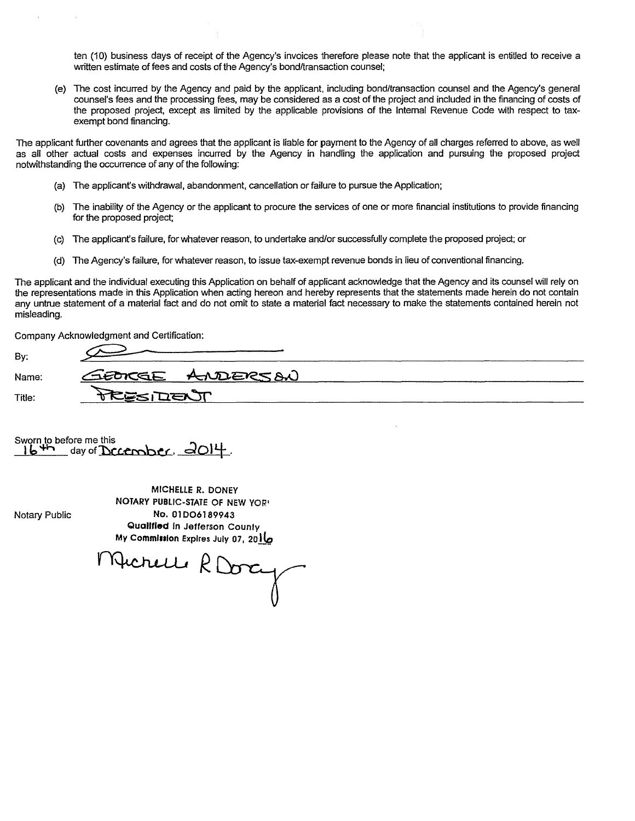ten (10) business days of receipt of the Agency's invoices therefore please note that the applicant is entitled to receive a written estimate of fees and costs of the Agency's bond/transaction counsel;

(e) The cost incurred by the Agency and paid by the applicant, including bond/transaction counsel and the Agency's general counsel's fees and the processing fees, may be considered as a cost of the project and included in the financing of costs of the proposed project, except as limited by the applicable provisions of the Internal Revenue Code with respect to taxexempt bond financing.

The applicant further covenants and agrees that the applicant is liable for payment to the Agency of all charges referred to above, as well as all other actual costs and expenses incurred by the Agency in handling the application and pursuing the proposed project notwithstanding the occurrence of any of the following:

- (a) The applicant's withdrawal, abandonment, cancellation or failure to pursue the Application;
- (b) The inability of the Agency or the applicant to procure the services of one or more financial institutions to provide financing for the proposed project;
- (c) The applicant's failure, for whatever reason, to undertake and/or successfully complete the proposed project; or
- (d) The Agency's failure, for whatever reason, to issue tax-exempt revenue bonds in lieu of conventional financing.

The applicant and the individual executing this Application on behalf of applicant acknowledge that the Agency and its counsel will rely on the representations made in this Application when acting hereon and hereby represents that the statements made herein do not contain any untrue statement of a material fact and do not omit to state a material fact necessary to make the statements contained herein not misleading.

Company Acknowledgment and Certification:

| Bv:    |                 |
|--------|-----------------|
| Name:  | GEORGE ANDERSON |
| Title: | ESIDENT         |

Sworn to before me this  $16$ <sup>4</sup>m day of December,  $d$ O14.

Notary Public

MICHELLE R. DONEY NOTARY PUBLIC-STATE OF NEW YORi No. 01D06189943 Qualified in Jefferson County<br>My Commission Expires July 07, 2010 My Commission Expires July 07, 20 IL

1 Hichelle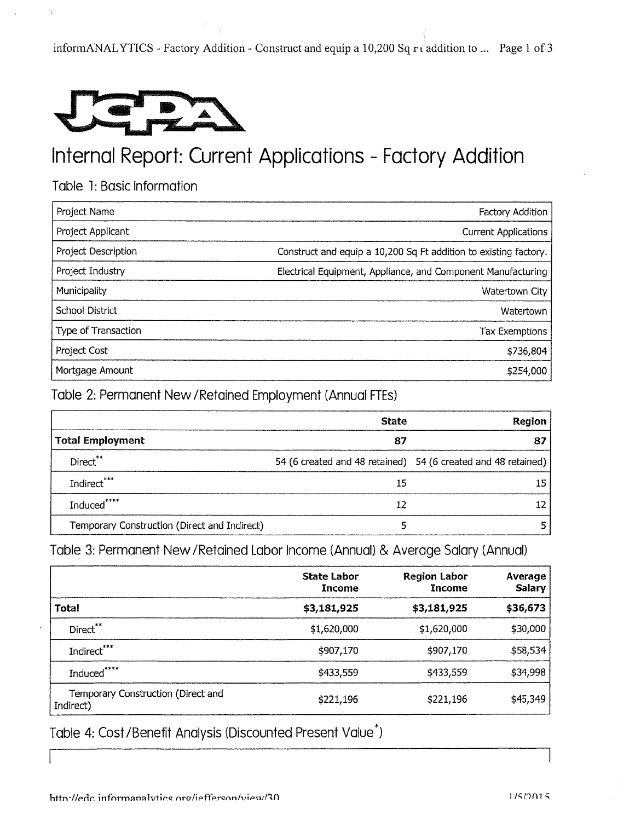informANALYTICS - Factory Addition - Construct and equip a 10,200 Sq r i addition to ... Page 1 of 3



### Internal Report: Current Applications - Factory Addition

Table 1: Basic Information

| Project Name               | Factory Addition                                                 |
|----------------------------|------------------------------------------------------------------|
| Project Applicant          | <b>Current Applications</b>                                      |
| <b>Project Description</b> | Construct and equip a 10,200 Sq Ft addition to existing factory. |
| Project Industry           | Electrical Equipment, Appliance, and Component Manufacturing     |
| Municipality               | Watertown City                                                   |
| <b>School District</b>     | Watertown                                                        |
| Type of Transaction        | <b>Tax Exemptions</b>                                            |
| Project Cost               | \$736,804                                                        |
| Mortgage Amount            | \$254,000                                                        |

Table 2: Permanent New /Retained Employment (Annual FTEs)

|                                              | <b>State</b> | Region                                                        |
|----------------------------------------------|--------------|---------------------------------------------------------------|
| <b>Total Employment</b>                      | 87           |                                                               |
| Direct**                                     |              | 54 (6 created and 48 retained) 54 (6 created and 48 retained) |
| Indirect***                                  | 15           |                                                               |
| Induced*****                                 | 12           |                                                               |
| Temporary Construction (Direct and Indirect) |              |                                                               |

Table 3: Permanent New /Retained Labor Income (Annual) & Average Salary (Annual)

|                                                 | <b>State Labor</b><br>Income | <b>Region Labor</b><br>Income | <b>Average</b><br><b>Salary</b> |
|-------------------------------------------------|------------------------------|-------------------------------|---------------------------------|
| <b>Total</b>                                    | \$3,181,925                  | \$3,181,925                   | \$36,673                        |
| Direct**                                        | \$1,620,000                  | \$1,620,000                   | \$30,000                        |
| Indirect***                                     | \$907,170                    | \$907,170                     | \$58,534                        |
| Induced*****                                    | \$433,559                    | \$433,559                     | \$34,998                        |
| Temporary Construction (Direct and<br>Indirect) | \$221,196                    | \$221,196                     | \$45,349                        |

Table 4: Cost /Benefit Analysis (Discounted Present Value\*)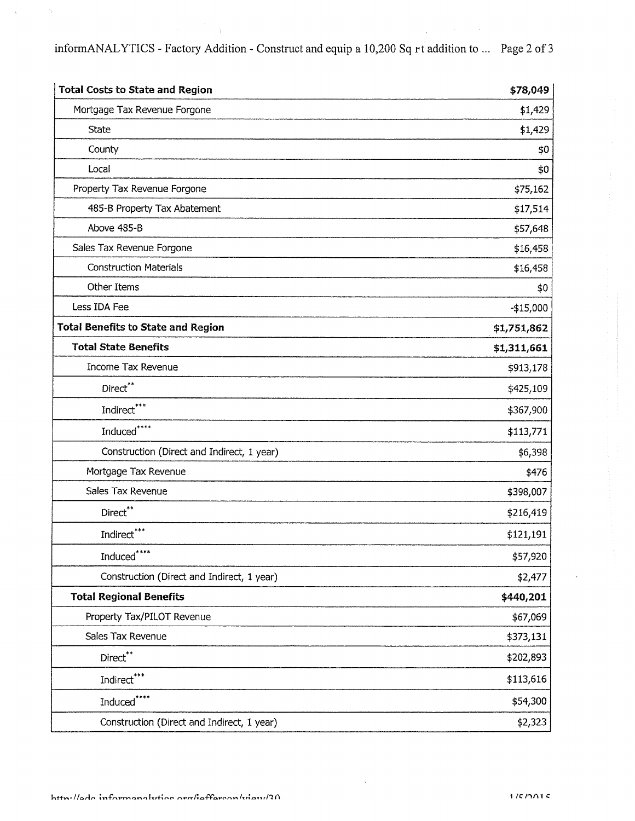informANALYTICS - Factory Addition - Construct and equip a 10,200 Sq rt addition to ... Page 2 of 3

| <b>Total Costs to State and Region</b>     | \$78,049    |
|--------------------------------------------|-------------|
| Mortgage Tax Revenue Forgone               | \$1,429     |
| <b>State</b>                               | \$1,429     |
| County                                     | \$0         |
| Local                                      | \$0         |
| Property Tax Revenue Forgone               | \$75,162    |
| 485-B Property Tax Abatement               | \$17,514    |
| Above 485-B                                | \$57,648    |
| Sales Tax Revenue Forgone                  | \$16,458    |
| <b>Construction Materials</b>              | \$16,458    |
| Other Items                                | \$0         |
| Less IDA Fee                               | $-$15,000$  |
| <b>Total Benefits to State and Region</b>  | \$1,751,862 |
| <b>Total State Benefits</b>                | \$1,311,661 |
| Income Tax Revenue                         | \$913,178   |
| Direct**                                   | \$425,109   |
| Indirect***                                | \$367,900   |
| Induced****                                | \$113,771   |
| Construction (Direct and Indirect, 1 year) | \$6,398     |
| Mortgage Tax Revenue                       | \$476       |
| Sales Tax Revenue                          | \$398,007   |
| Direct**                                   | \$216,419   |
| Indirect***                                | \$121,191   |
| Induced****                                | \$57,920    |
| Construction (Direct and Indirect, 1 year) | \$2,477     |
| <b>Total Regional Benefits</b>             | \$440,201   |
| Property Tax/PILOT Revenue                 | \$67,069    |
| Sales Tax Revenue                          | \$373,131   |
| $\mathsf{Direct}^{**}$                     | \$202,893   |
| Indirect***                                | \$113,616   |
| Induced****                                | \$54,300    |
| Construction (Direct and Indirect, 1 year) | \$2,323     |